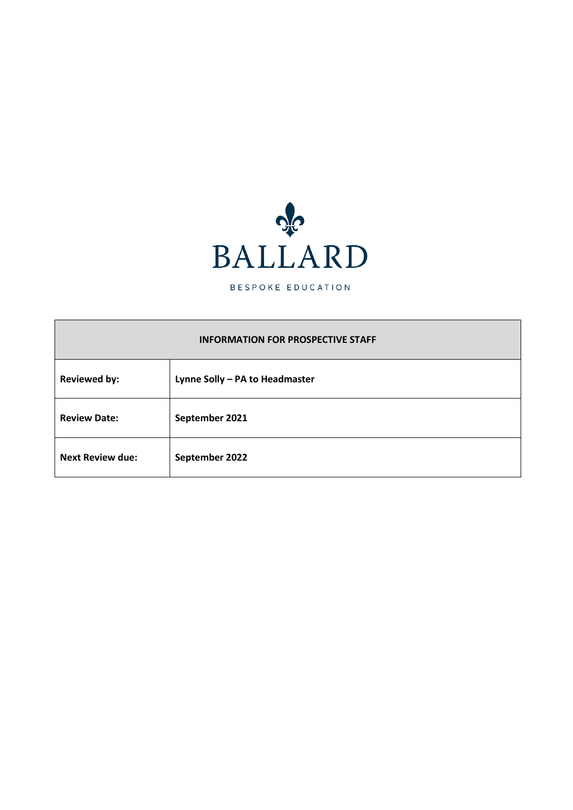

BESPOKE EDUCATION

#### **INFORMATION FOR PROSPECTIVE STAFF**

| <b>Reviewed by:</b>     | Lynne Solly - PA to Headmaster |
|-------------------------|--------------------------------|
| <b>Review Date:</b>     | September 2021                 |
| <b>Next Review due:</b> | September 2022                 |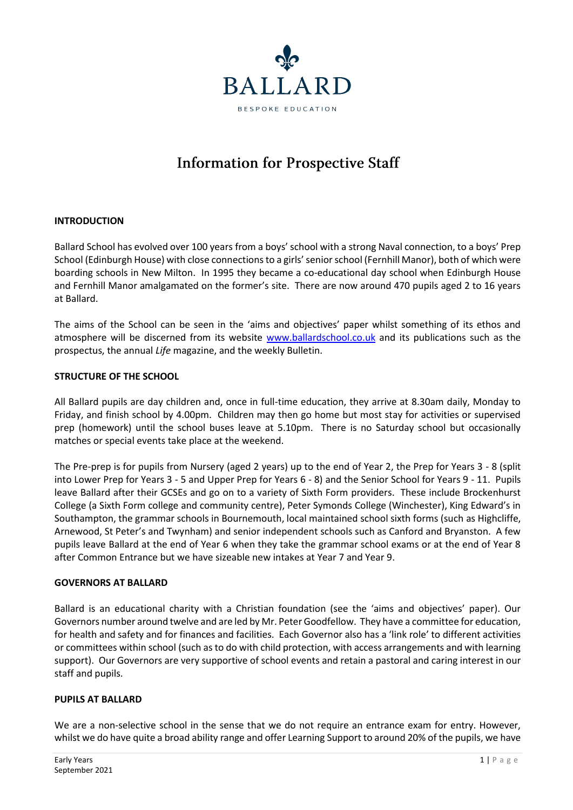

# **Information for Prospective Staff**

### **INTRODUCTION**

Ballard School has evolved over 100 years from a boys' school with a strong Naval connection, to a boys' Prep School (Edinburgh House) with close connections to a girls' senior school (Fernhill Manor), both of which were boarding schools in New Milton. In 1995 they became a co-educational day school when Edinburgh House and Fernhill Manor amalgamated on the former's site. There are now around 470 pupils aged 2 to 16 years at Ballard.

The aims of the School can be seen in the 'aims and objectives' paper whilst something of its ethos and atmosphere will be discerned from its website [www.ballardschool.co.uk](http://www.ballardschool.co.uk/) and its publications such as the prospectus, the annual *Life* magazine, and the weekly Bulletin.

#### **STRUCTURE OF THE SCHOOL**

All Ballard pupils are day children and, once in full-time education, they arrive at 8.30am daily, Monday to Friday, and finish school by 4.00pm. Children may then go home but most stay for activities or supervised prep (homework) until the school buses leave at 5.10pm. There is no Saturday school but occasionally matches or special events take place at the weekend.

The Pre-prep is for pupils from Nursery (aged 2 years) up to the end of Year 2, the Prep for Years 3 - 8 (split into Lower Prep for Years 3 - 5 and Upper Prep for Years 6 - 8) and the Senior School for Years 9 - 11. Pupils leave Ballard after their GCSEs and go on to a variety of Sixth Form providers. These include Brockenhurst College (a Sixth Form college and community centre), Peter Symonds College (Winchester), King Edward's in Southampton, the grammar schools in Bournemouth, local maintained school sixth forms (such as Highcliffe, Arnewood, St Peter's and Twynham) and senior independent schools such as Canford and Bryanston. A few pupils leave Ballard at the end of Year 6 when they take the grammar school exams or at the end of Year 8 after Common Entrance but we have sizeable new intakes at Year 7 and Year 9.

#### **GOVERNORS AT BALLARD**

Ballard is an educational charity with a Christian foundation (see the 'aims and objectives' paper). Our Governors number around twelve and are led by Mr. Peter Goodfellow. They have a committee for education, for health and safety and for finances and facilities. Each Governor also has a 'link role' to different activities or committees within school (such as to do with child protection, with access arrangements and with learning support). Our Governors are very supportive of school events and retain a pastoral and caring interest in our staff and pupils.

#### **PUPILS AT BALLARD**

We are a non-selective school in the sense that we do not require an entrance exam for entry. However, whilst we do have quite a broad ability range and offer Learning Support to around 20% of the pupils, we have